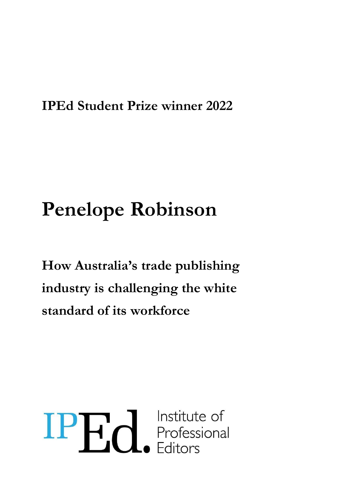## **IPEd Student Prize winner 2022**

## **Penelope Robinson**

**How Australia's trade publishing industry is challenging the white standard of its workforce**

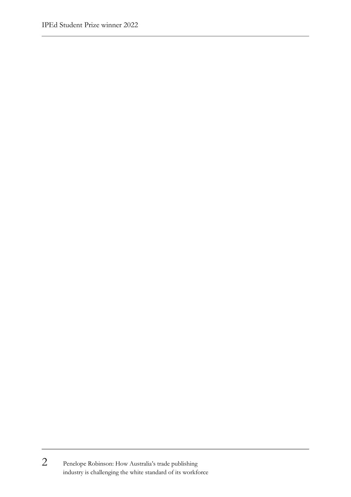#### 2 Penelope Robinson: How Australia's trade publishing industry is challenging the white standard of its workforce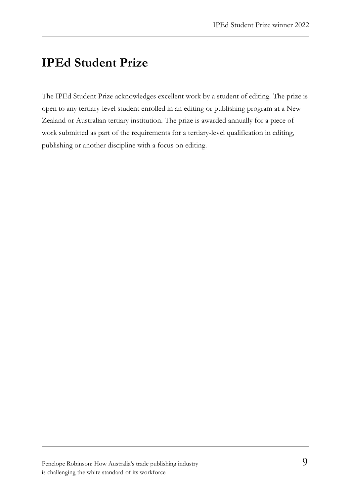## **IPEd Student Prize**

The IPEd Student Prize acknowledges excellent work by a student of editing. The prize is open to any tertiary-level student enrolled in an editing or publishing program at a New Zealand or Australian tertiary institution. The prize is awarded annually for a piece of work submitted as part of the requirements for a tertiary-level qualification in editing, publishing or another discipline with a focus on editing.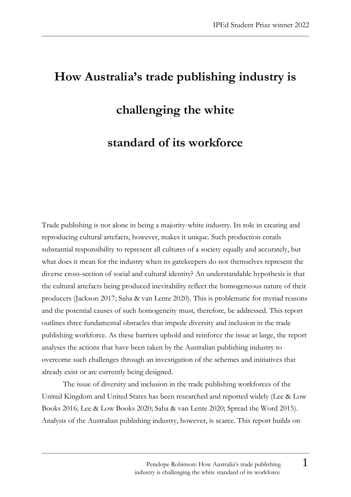# **How Australia's trade publishing industry is challenging the white standard of its workforce**

Trade publishing is not alone in being a majority-white industry. Its role in creating and reproducing cultural artefacts, however, makes it unique. Such production entails substantial responsibility to represent all cultures of a society equally and accurately, but what does it mean for the industry when its gatekeepers do not themselves represent the diverse cross-section of social and cultural identity? An understandable hypothesis is that the cultural artefacts being produced inevitability reflect the homogeneous nature of their producers (Jackson 2017; Saha & van Lente 2020). This is problematic for myriad reasons and the potential causes of such homogeneity must, therefore, be addressed. This report outlines three fundamental obstacles that impede diversity and inclusion in the trade publishing workforce. As these barriers uphold and reinforce the issue at large, the report analyses the actions that have been taken by the Australian publishing industry to overcome such challenges through an investigation of the schemes and initiatives that already exist or are currently being designed.

The issue of diversity and inclusion in the trade publishing workforces of the United Kingdom and United States has been researched and reported widely (Lee & Low Books 2016; Lee & Low Books 2020; Saha & van Lente 2020; Spread the Word 2015). Analysis of the Australian publishing industry, however, is scarce. This report builds on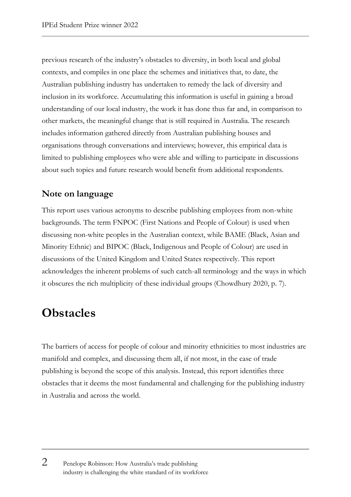previous research of the industry's obstacles to diversity, in both local and global contexts, and compiles in one place the schemes and initiatives that, to date, the Australian publishing industry has undertaken to remedy the lack of diversity and inclusion in its workforce. Accumulating this information is useful in gaining a broad understanding of our local industry, the work it has done thus far and, in comparison to other markets, the meaningful change that is still required in Australia. The research includes information gathered directly from Australian publishing houses and organisations through conversations and interviews; however, this empirical data is limited to publishing employees who were able and willing to participate in discussions about such topics and future research would benefit from additional respondents.

#### **Note on language**

This report uses various acronyms to describe publishing employees from non-white backgrounds. The term FNPOC (First Nations and People of Colour) is used when discussing non-white peoples in the Australian context, while BAME (Black, Asian and Minority Ethnic) and BIPOC (Black, Indigenous and People of Colour) are used in discussions of the United Kingdom and United States respectively. This report acknowledges the inherent problems of such catch-all terminology and the ways in which it obscures the rich multiplicity of these individual groups (Chowdhury 2020, p. 7).

## **Obstacles**

The barriers of access for people of colour and minority ethnicities to most industries are manifold and complex, and discussing them all, if not most, in the case of trade publishing is beyond the scope of this analysis. Instead, this report identifies three obstacles that it deems the most fundamental and challenging for the publishing industry in Australia and across the world.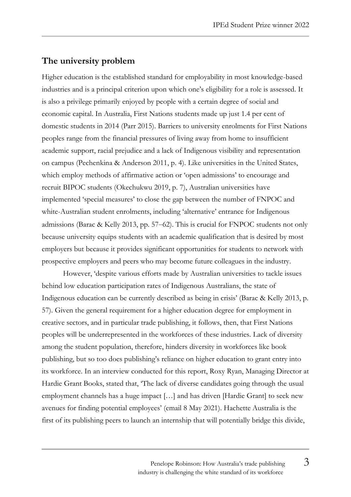#### **The university problem**

Higher education is the established standard for employability in most knowledge-based industries and is a principal criterion upon which one's eligibility for a role is assessed. It is also a privilege primarily enjoyed by people with a certain degree of social and economic capital. In Australia, First Nations students made up just 1.4 per cent of domestic students in 2014 (Parr 2015). Barriers to university enrolments for First Nations peoples range from the financial pressures of living away from home to insufficient academic support, racial prejudice and a lack of Indigenous visibility and representation on campus (Pechenkina & Anderson 2011, p. 4). Like universities in the United States, which employ methods of affirmative action or 'open admissions' to encourage and recruit BIPOC students (Okechukwu 2019, p. 7), Australian universities have implemented 'special measures' to close the gap between the number of FNPOC and white-Australian student enrolments, including 'alternative' entrance for Indigenous admissions (Barac & Kelly 2013, pp. 57–62). This is crucial for FNPOC students not only because university equips students with an academic qualification that is desired by most employers but because it provides significant opportunities for students to network with prospective employers and peers who may become future colleagues in the industry.

However, 'despite various efforts made by Australian universities to tackle issues behind low education participation rates of Indigenous Australians, the state of Indigenous education can be currently described as being in crisis' (Barac & Kelly 2013, p. 57). Given the general requirement for a higher education degree for employment in creative sectors, and in particular trade publishing, it follows, then, that First Nations peoples will be underrepresented in the workforces of these industries. Lack of diversity among the student population, therefore, hinders diversity in workforces like book publishing, but so too does publishing's reliance on higher education to grant entry into its workforce. In an interview conducted for this report, Roxy Ryan, Managing Director at Hardie Grant Books, stated that, 'The lack of diverse candidates going through the usual employment channels has a huge impact […] and has driven [Hardie Grant] to seek new avenues for finding potential employees' (email 8 May 2021). Hachette Australia is the first of its publishing peers to launch an internship that will potentially bridge this divide,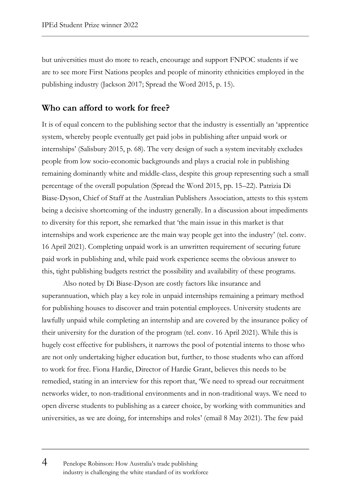but universities must do more to reach, encourage and support FNPOC students if we are to see more First Nations peoples and people of minority ethnicities employed in the publishing industry (Jackson 2017; Spread the Word 2015, p. 15).

#### **Who can afford to work for free?**

It is of equal concern to the publishing sector that the industry is essentially an 'apprentice system, whereby people eventually get paid jobs in publishing after unpaid work or internships' (Salisbury 2015, p. 68). The very design of such a system inevitably excludes people from low socio-economic backgrounds and plays a crucial role in publishing remaining dominantly white and middle-class, despite this group representing such a small percentage of the overall population (Spread the Word 2015, pp. 15–22). Patrizia Di Biase-Dyson, Chief of Staff at the Australian Publishers Association, attests to this system being a decisive shortcoming of the industry generally. In a discussion about impediments to diversity for this report, she remarked that 'the main issue in this market is that internships and work experience are the main way people get into the industry' (tel. conv. 16 April 2021). Completing unpaid work is an unwritten requirement of securing future paid work in publishing and, while paid work experience seems the obvious answer to this, tight publishing budgets restrict the possibility and availability of these programs.

Also noted by Di Biase-Dyson are costly factors like insurance and superannuation, which play a key role in unpaid internships remaining a primary method for publishing houses to discover and train potential employees. University students are lawfully unpaid while completing an internship and are covered by the insurance policy of their university for the duration of the program (tel. conv. 16 April 2021). While this is hugely cost effective for publishers, it narrows the pool of potential interns to those who are not only undertaking higher education but, further, to those students who can afford to work for free. Fiona Hardie, Director of Hardie Grant, believes this needs to be remedied, stating in an interview for this report that, 'We need to spread our recruitment networks wider, to non-traditional environments and in non-traditional ways. We need to open diverse students to publishing as a career choice, by working with communities and universities, as we are doing, for internships and roles' (email 8 May 2021). The few paid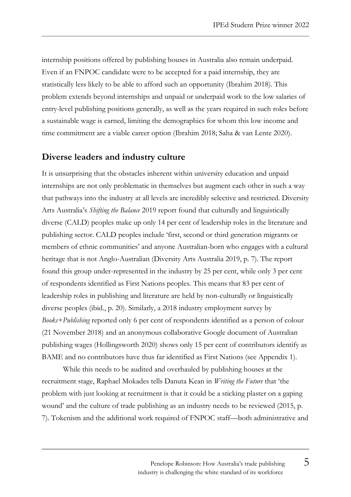internship positions offered by publishing houses in Australia also remain underpaid. Even if an FNPOC candidate were to be accepted for a paid internship, they are statistically less likely to be able to afford such an opportunity (Ibrahim 2018). This problem extends beyond internships and unpaid or underpaid work to the low salaries of entry-level publishing positions generally, as well as the years required in such roles before a sustainable wage is earned, limiting the demographics for whom this low income and time commitment are a viable career option (Ibrahim 2018; Saha & van Lente 2020).

#### **Diverse leaders and industry culture**

It is unsurprising that the obstacles inherent within university education and unpaid internships are not only problematic in themselves but augment each other in such a way that pathways into the industry at all levels are incredibly selective and restricted. Diversity Arts Australia's *Shifting the Balance* 2019 report found that culturally and linguistically diverse (CALD) peoples make up only 14 per cent of leadership roles in the literature and publishing sector. CALD peoples include 'first, second or third generation migrants or members of ethnic communities' and anyone Australian-born who engages with a cultural heritage that is not Anglo-Australian (Diversity Arts Australia 2019, p. 7). The report found this group under-represented in the industry by 25 per cent, while only 3 per cent of respondents identified as First Nations peoples. This means that 83 per cent of leadership roles in publishing and literature are held by non-culturally or linguistically diverse peoples (ibid., p. 20). Similarly, a 2018 industry employment survey by *Books+Publishing* reported only 6 per cent of respondents identified as a person of colour (21 November 2018) and an anonymous collaborative Google document of Australian publishing wages (Hollingsworth 2020) shows only 15 per cent of contributors identify as BAME and no contributors have thus far identified as First Nations (see Appendix 1).

While this needs to be audited and overhauled by publishing houses at the recruitment stage, Raphael Mokades tells Danuta Kean in *Writing the Future* that 'the problem with just looking at recruitment is that it could be a sticking plaster on a gaping wound' and the culture of trade publishing as an industry needs to be reviewed (2015, p. 7). Tokenism and the additional work required of FNPOC staff—both administrative and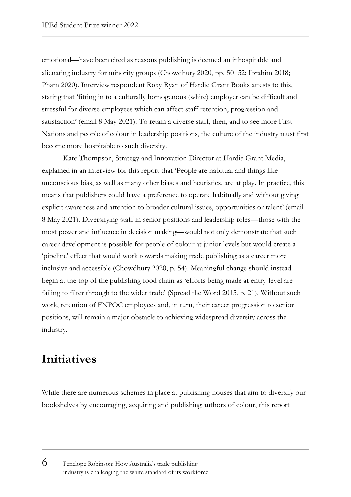emotional—have been cited as reasons publishing is deemed an inhospitable and alienating industry for minority groups (Chowdhury 2020, pp. 50‒52; Ibrahim 2018; Pham 2020). Interview respondent Roxy Ryan of Hardie Grant Books attests to this, stating that 'fitting in to a culturally homogenous (white) employer can be difficult and stressful for diverse employees which can affect staff retention, progression and satisfaction' (email 8 May 2021). To retain a diverse staff, then, and to see more First Nations and people of colour in leadership positions, the culture of the industry must first become more hospitable to such diversity.

Kate Thompson, Strategy and Innovation Director at Hardie Grant Media, explained in an interview for this report that 'People are habitual and things like unconscious bias, as well as many other biases and heuristics, are at play. In practice, this means that publishers could have a preference to operate habitually and without giving explicit awareness and attention to broader cultural issues, opportunities or talent' (email 8 May 2021). Diversifying staff in senior positions and leadership roles—those with the most power and influence in decision making—would not only demonstrate that such career development is possible for people of colour at junior levels but would create a 'pipeline' effect that would work towards making trade publishing as a career more inclusive and accessible (Chowdhury 2020, p. 54). Meaningful change should instead begin at the top of the publishing food chain as 'efforts being made at entry-level are failing to filter through to the wider trade' (Spread the Word 2015, p. 21). Without such work, retention of FNPOC employees and, in turn, their career progression to senior positions, will remain a major obstacle to achieving widespread diversity across the industry.

## **Initiatives**

While there are numerous schemes in place at publishing houses that aim to diversify our bookshelves by encouraging, acquiring and publishing authors of colour, this report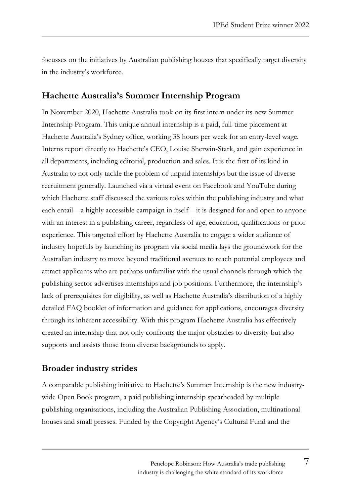focusses on the initiatives by Australian publishing houses that specifically target diversity in the industry's workforce.

#### **Hachette Australia's Summer Internship Program**

In November 2020, Hachette Australia took on its first intern under its new Summer Internship Program. This unique annual internship is a paid, full-time placement at Hachette Australia's Sydney office, working 38 hours per week for an entry-level wage. Interns report directly to Hachette's CEO, Louise Sherwin-Stark, and gain experience in all departments, including editorial, production and sales. It is the first of its kind in Australia to not only tackle the problem of unpaid internships but the issue of diverse recruitment generally. Launched via a virtual event on Facebook and YouTube during which Hachette staff discussed the various roles within the publishing industry and what each entail—a highly accessible campaign in itself—it is designed for and open to anyone with an interest in a publishing career, regardless of age, education, qualifications or prior experience. This targeted effort by Hachette Australia to engage a wider audience of industry hopefuls by launching its program via social media lays the groundwork for the Australian industry to move beyond traditional avenues to reach potential employees and attract applicants who are perhaps unfamiliar with the usual channels through which the publishing sector advertises internships and job positions. Furthermore, the internship's lack of prerequisites for eligibility, as well as Hachette Australia's distribution of a highly detailed FAQ booklet of information and guidance for applications, encourages diversity through its inherent accessibility. With this program Hachette Australia has effectively created an internship that not only confronts the major obstacles to diversity but also supports and assists those from diverse backgrounds to apply.

#### **Broader industry strides**

A comparable publishing initiative to Hachette's Summer Internship is the new industrywide Open Book program, a paid publishing internship spearheaded by multiple publishing organisations, including the Australian Publishing Association, multinational houses and small presses. Funded by the Copyright Agency's Cultural Fund and the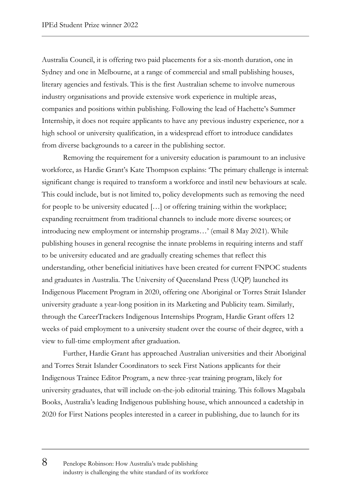Australia Council, it is offering two paid placements for a six-month duration, one in Sydney and one in Melbourne, at a range of commercial and small publishing houses, literary agencies and festivals. This is the first Australian scheme to involve numerous industry organisations and provide extensive work experience in multiple areas, companies and positions within publishing. Following the lead of Hachette's Summer Internship, it does not require applicants to have any previous industry experience, nor a high school or university qualification, in a widespread effort to introduce candidates from diverse backgrounds to a career in the publishing sector.

Removing the requirement for a university education is paramount to an inclusive workforce, as Hardie Grant's Kate Thompson explains: 'The primary challenge is internal: significant change is required to transform a workforce and instil new behaviours at scale. This could include, but is not limited to, policy developments such as removing the need for people to be university educated […] or offering training within the workplace; expanding recruitment from traditional channels to include more diverse sources; or introducing new employment or internship programs…' (email 8 May 2021). While publishing houses in general recognise the innate problems in requiring interns and staff to be university educated and are gradually creating schemes that reflect this understanding, other beneficial initiatives have been created for current FNPOC students and graduates in Australia. The University of Queensland Press (UQP) launched its Indigenous Placement Program in 2020, offering one Aboriginal or Torres Strait Islander university graduate a year-long position in its Marketing and Publicity team. Similarly, through the CareerTrackers Indigenous Internships Program, Hardie Grant offers 12 weeks of paid employment to a university student over the course of their degree, with a view to full-time employment after graduation.

Further, Hardie Grant has approached Australian universities and their Aboriginal and Torres Strait Islander Coordinators to seek First Nations applicants for their Indigenous Trainee Editor Program, a new three-year training program, likely for university graduates, that will include on-the-job editorial training. This follows Magabala Books, Australia's leading Indigenous publishing house, which announced a cadetship in 2020 for First Nations peoples interested in a career in publishing, due to launch for its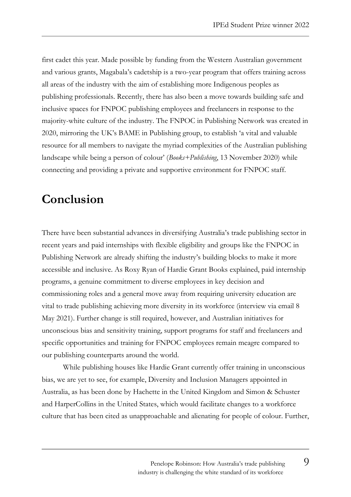first cadet this year. Made possible by funding from the Western Australian government and various grants, Magabala's cadetship is a two-year program that offers training across all areas of the industry with the aim of establishing more Indigenous peoples as publishing professionals. Recently, there has also been a move towards building safe and inclusive spaces for FNPOC publishing employees and freelancers in response to the majority-white culture of the industry. The FNPOC in Publishing Network was created in 2020, mirroring the UK's BAME in Publishing group, to establish 'a vital and valuable resource for all members to navigate the myriad complexities of the Australian publishing landscape while being a person of colour' (*Books+Publishing*, 13 November 2020) while connecting and providing a private and supportive environment for FNPOC staff.

## **Conclusion**

There have been substantial advances in diversifying Australia's trade publishing sector in recent years and paid internships with flexible eligibility and groups like the FNPOC in Publishing Network are already shifting the industry's building blocks to make it more accessible and inclusive. As Roxy Ryan of Hardie Grant Books explained, paid internship programs, a genuine commitment to diverse employees in key decision and commissioning roles and a general move away from requiring university education are vital to trade publishing achieving more diversity in its workforce (interview via email 8 May 2021). Further change is still required, however, and Australian initiatives for unconscious bias and sensitivity training, support programs for staff and freelancers and specific opportunities and training for FNPOC employees remain meagre compared to our publishing counterparts around the world.

While publishing houses like Hardie Grant currently offer training in unconscious bias, we are yet to see, for example, Diversity and Inclusion Managers appointed in Australia, as has been done by Hachette in the United Kingdom and Simon & Schuster and HarperCollins in the United States, which would facilitate changes to a workforce culture that has been cited as unapproachable and alienating for people of colour. Further,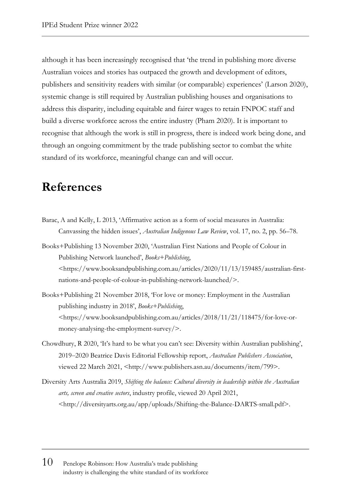although it has been increasingly recognised that 'the trend in publishing more diverse Australian voices and stories has outpaced the growth and development of editors, publishers and sensitivity readers with similar (or comparable) experiences' (Larson 2020), systemic change is still required by Australian publishing houses and organisations to address this disparity, including equitable and fairer wages to retain FNPOC staff and build a diverse workforce across the entire industry (Pham 2020). It is important to recognise that although the work is still in progress, there is indeed work being done, and through an ongoing commitment by the trade publishing sector to combat the white standard of its workforce, meaningful change can and will occur.

### **References**

Barac, A and Kelly, L 2013, 'Affirmative action as a form of social measures in Australia: Canvassing the hidden issues', *Australian Indigenous Law Review*, vol. 17, no. 2, pp. 56–78.

Books+Publishing 13 November 2020, 'Australian First Nations and People of Colour in Publishing Network launched', *Books+Publishing*, <https://www.booksandpublishing.com.au/articles/2020/11/13/159485/australian-firstnations-and-people-of-colour-in-publishing-network-launched/>.

Books+Publishing 21 November 2018, 'For love or money: Employment in the Australian publishing industry in 2018', *Books+Publishing*, <https://www.booksandpublishing.com.au/articles/2018/11/21/118475/for-love-ormoney-analysing-the-employment-survey/>.

- Chowdhury, R 2020, 'It's hard to be what you can't see: Diversity within Australian publishing', 2019‒2020 Beatrice Davis Editorial Fellowship report, *Australian Publishers Association*, viewed 22 March 2021, <http://www.publishers.asn.au/documents/item/799>.
- Diversity Arts Australia 2019, *Shifting the balance: Cultural diversity in leadership within the Australian arts, screen and creative sectors*, industry profile, viewed 20 April 2021, <http://diversityarts.org.au/app/uploads/Shifting-the-Balance-DARTS-small.pdf>.

 $10$  Penelope Robinson: How Australia's trade publishing industry is challenging the white standard of its workforce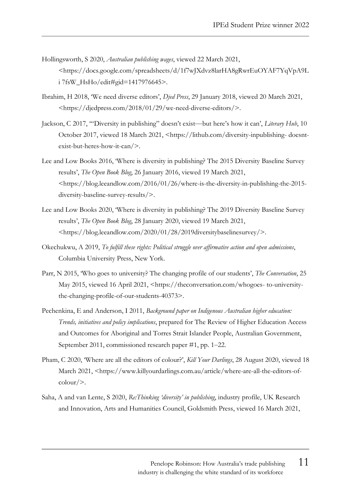- Hollingsworth, S 2020, *Australian publishing wages*, viewed 22 March 2021, <https://docs.google.com/spreadsheets/d/1f7wJXdvz8larHA8gRwrEuOYAF7YqVpA9L i 7fsW\_HsHo/edit#gid=1417976645>.
- Ibrahim, H 2018, 'We need diverse editors', *Djed Press*, 29 January 2018, viewed 20 March 2021, <https://djedpress.com/2018/01/29/we-need-diverse-editors/>.
- Jackson, C 2017, '"Diversity in publishing" doesn't exist—but here's how it can', *Literary Hub*, 10 October 2017, viewed 18 March 2021, <https://lithub.com/diversity-inpublishing- doesntexist-but-heres-how-it-can/>.
- Lee and Low Books 2016, 'Where is diversity in publishing? The 2015 Diversity Baseline Survey results', *The Open Book Blog*, 26 January 2016, viewed 19 March 2021, <https://blog.leeandlow.com/2016/01/26/where-is-the-diversity-in-publishing-the-2015 diversity-baseline-survey-results/>.
- Lee and Low Books 2020, 'Where is diversity in publishing? The 2019 Diversity Baseline Survey results', *The Open Book Blog*, 28 January 2020, viewed 19 March 2021, <https://blog.leeandlow.com/2020/01/28/2019diversitybaselinesurvey/>.
- Okechukwu, A 2019, *To fulfill these rights: Political struggle over affirmative action and open admissions*, Columbia University Press, New York.
- Parr, N 2015, 'Who goes to university? The changing profile of our students', *The Conversation*, 25 May 2015, viewed 16 April 2021, <https://theconversation.com/whogoes- to-universitythe-changing-profile-of-our-students-40373>.
- Pechenkina, E and Anderson, I 2011, *Background paper on Indigenous Australian higher education: Trends, initiatives and policy implications*, prepared for The Review of Higher Education Access and Outcomes for Aboriginal and Torres Strait Islander People, Australian Government, September 2011, commissioned research paper #1, pp. 1–22.
- Pham, C 2020, 'Where are all the editors of colour?', *Kill Your Darlings*, 28 August 2020, viewed 18 March 2021, <https://www.killyourdarlings.com.au/article/where-are-all-the-editors-ofcolour/>.
- Saha, A and van Lente, S 2020, *Re:Thinking 'diversity' in publishing*, industry profile, UK Research and Innovation, Arts and Humanities Council, Goldsmith Press, viewed 16 March 2021,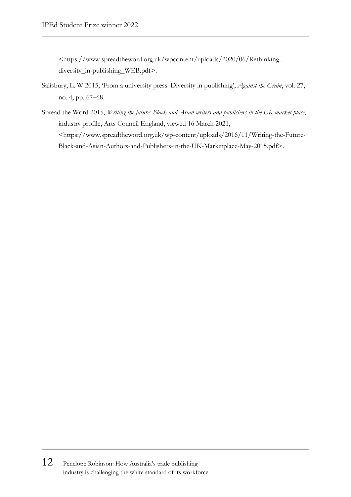<https://www.spreadtheword.org.uk/wpcontent/uploads/2020/06/Rethinking\_ diversity\_in-publishing\_WEB.pdf>.

- Salisbury, L. W 2015, 'From a university press: Diversity in publishing', *Against the Grain*, vol. 27, no. 4, pp. 67‒68.
- Spread the Word 2015, *Writing the future: Black and Asian writers and publishers in the UK market place*, industry profile, Arts Council England, viewed 16 March 2021, <https://www.spreadtheword.org.uk/wp-content/uploads/2016/11/Writing-the-Future-Black-and-Asian-Authors-and-Publishers-in-the-UK-Marketplace-May-2015.pdf>.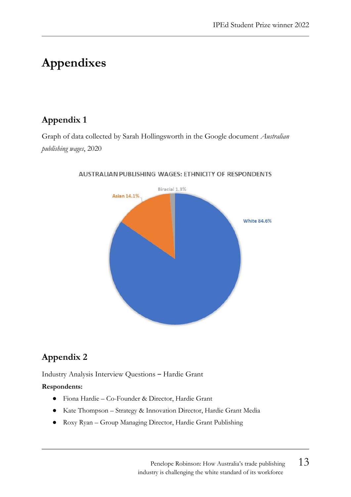## **Appendixes**

#### **Appendix 1**

Graph of data collected by Sarah Hollingsworth in the Google document *Australian publishing wages*, 2020



#### AUSTRALIAN PUBLISHING WAGES: ETHNICITY OF RESPONDENTS

## **Appendix 2**

Industry Analysis Interview Questions - Hardie Grant

#### **Respondents:**

- Fiona Hardie Co-Founder & Director, Hardie Grant
- Kate Thompson Strategy & Innovation Director, Hardie Grant Media
- Roxy Ryan Group Managing Director, Hardie Grant Publishing